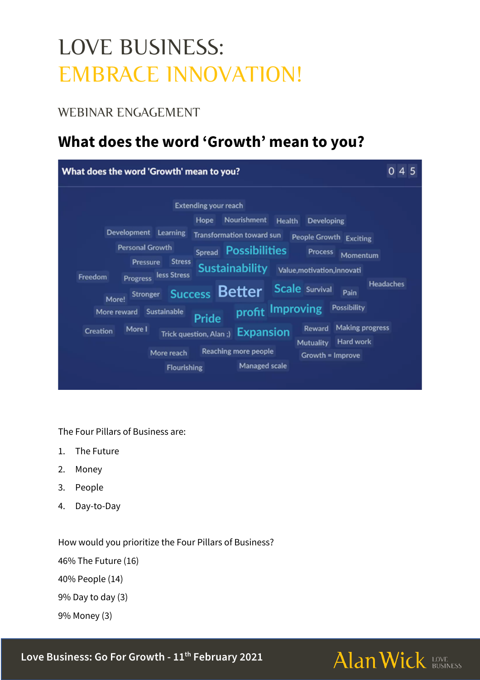# LOVE BUSINESS: EMBRACE INNOVATION!

#### WEBINAR ENGAGEMENT

### **What does the word 'Growth' mean to you?**

| What does the word 'Growth' mean to you?      |                                  |                              |                                  |               |                                      |                        | 04               |
|-----------------------------------------------|----------------------------------|------------------------------|----------------------------------|---------------|--------------------------------------|------------------------|------------------|
| <b>Extending your reach</b>                   |                                  |                              |                                  |               |                                      |                        |                  |
|                                               | <b>Hope</b>                      | Nourishment<br><b>Health</b> |                                  | Developing    |                                      |                        |                  |
| Development Learning                          |                                  |                              | Transformation toward sun        |               | People Growth Exciting               |                        |                  |
| <b>Personal Growth</b>                        |                                  |                              | Spread Possibilities             |               | <b>Process</b>                       | Momentum               |                  |
| <b>Pressure</b><br>Freedom<br><b>Progress</b> | <b>Stress</b><br>less Stress     |                              | <b>Sustainability</b>            |               | Value, motivation, innovati          |                        |                  |
| <b>Stronger</b><br>More!                      |                                  | <b>Success Better</b>        |                                  |               | <b>Scale</b> Survival                | Pain                   | <b>Headaches</b> |
| <b>Sustainable</b><br>More reward             | profit Improving<br><b>Pride</b> |                              |                                  |               | <b>Possibility</b>                   |                        |                  |
| More I<br><b>Creation</b>                     |                                  |                              | Trick question, Alan;) Expansion |               | Reward                               | <b>Making progress</b> |                  |
|                                               |                                  |                              |                                  |               | <b>Hard work</b><br><b>Mutuality</b> |                        |                  |
|                                               | More reach                       |                              | Reaching more people             |               | Growth = Improve                     |                        |                  |
|                                               |                                  | <b>Flourishing</b>           |                                  | Managed scale |                                      |                        |                  |
|                                               |                                  |                              |                                  |               |                                      |                        |                  |

The Four Pillars of Business are:

- 1. The Future
- 2. Money
- 3. People
- 4. Day-to-Day

How would you prioritize the Four Pillars of Business?

46% The Future (16)

40% People (14)

9% Day to day (3)

9% Money (3)

**Love Business: Go For Growth - 11th February 2021**

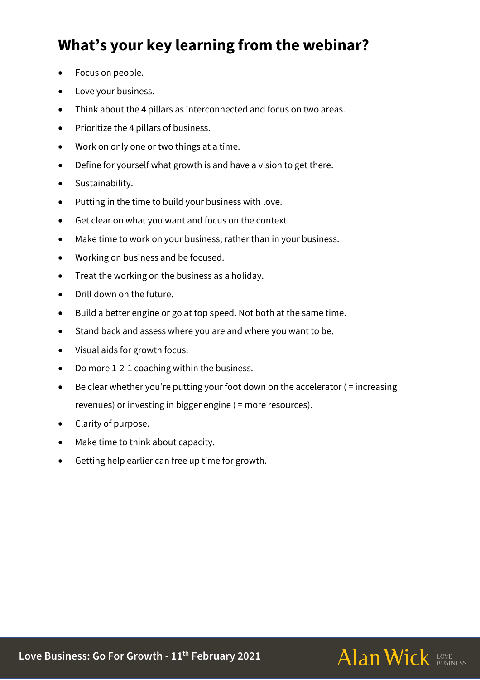# **What's your key learning from the webinar?**

- Focus on people.
- Love your business.
- Think about the 4 pillars as interconnected and focus on two areas.
- Prioritize the 4 pillars of business.
- Work on only one or two things at a time.
- Define for yourself what growth is and have a vision to get there.
- Sustainability.
- Putting in the time to build your business with love.
- Get clear on what you want and focus on the context.
- Make time to work on your business, rather than in your business.
- Working on business and be focused.
- Treat the working on the business as a holiday.
- Drill down on the future.
- Build a better engine or go at top speed. Not both at the same time.
- Stand back and assess where you are and where you want to be.
- Visual aids for growth focus.
- Do more 1-2-1 coaching within the business.
- Be clear whether you're putting your foot down on the accelerator  $($  = increasing revenues) or investing in bigger engine ( = more resources).
- Clarity of purpose.
- Make time to think about capacity.
- Getting help earlier can free up time for growth.